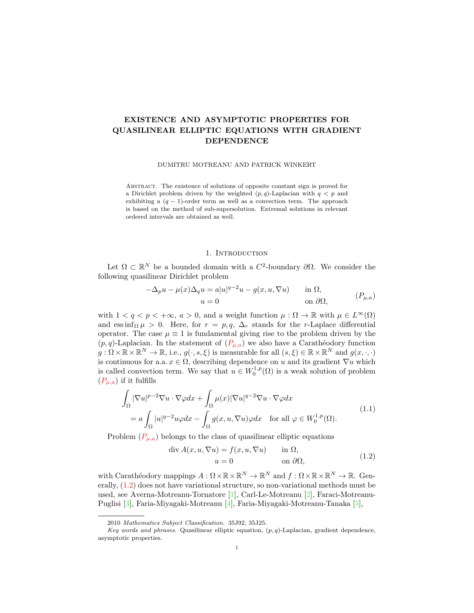# EXISTENCE AND ASYMPTOTIC PROPERTIES FOR QUASILINEAR ELLIPTIC EQUATIONS WITH GRADIENT DEPENDENCE

### DUMITRU MOTREANU AND PATRICK WINKERT

Abstract. The existence of solutions of opposite constant sign is proved for a Dirichlet problem driven by the weighted  $(p, q)$ -Laplacian with  $q < p$  and exhibiting a  $(q - 1)$ -order term as well as a convection term. The approach is based on the method of sub-supersolution. Extremal solutions in relevant ordered intervals are obtained as well.

## <span id="page-0-0"></span>1. INTRODUCTION

Let  $\Omega \subset \mathbb{R}^N$  be a bounded domain with a  $C^2$ -boundary  $\partial \Omega$ . We consider the following quasilinear Dirichlet problem

<span id="page-0-2"></span>
$$
-\Delta_p u - \mu(x)\Delta_q u = a|u|^{q-2}u - g(x, u, \nabla u) \quad \text{in } \Omega,
$$
  
\n
$$
u = 0 \quad \text{on } \partial\Omega,
$$
 (P<sub>µ,a</sub>)

with  $1 < q < p < +\infty$ ,  $a > 0$ , and a weight function  $\mu : \Omega \to \mathbb{R}$  with  $\mu \in L^{\infty}(\Omega)$ and ess inf<sub>Ω</sub> $\mu > 0$ . Here, for  $r = p, q, \Delta_r$  stands for the r-Laplace differential operator. The case  $\mu \equiv 1$  is fundamental giving rise to the problem driven by the  $(p, q)$ -Laplacian. In the statement of  $(P_{\mu,a})$  we also have a Carathéodory function  $g: \Omega \times \mathbb{R} \times \mathbb{R}^N \to \mathbb{R}$ , i.e.,  $g(\cdot, s, \xi)$  is measurable for all  $(s, \xi) \in \mathbb{R} \times \mathbb{R}^N$  and  $g(x, \cdot, \cdot)$ is continuous for a.a.  $x \in \Omega$ , describing dependence on u and its gradient  $\nabla u$  which is called convection term. We say that  $u \in W_0^{1,p}(\Omega)$  is a weak solution of problem  $(P_{\mu,a})$  if it fulfills

$$
\int_{\Omega} |\nabla u|^{p-2} \nabla u \cdot \nabla \varphi dx + \int_{\Omega} \mu(x) |\nabla u|^{q-2} \nabla u \cdot \nabla \varphi dx
$$
\n
$$
= a \int_{\Omega} |u|^{q-2} u \varphi dx - \int_{\Omega} g(x, u, \nabla u) \varphi dx \quad \text{for all } \varphi \in W_0^{1,p}(\Omega). \tag{1.1}
$$

Problem  $(P_{\mu,a})$  belongs to the class of quasilinear elliptic equations

<span id="page-0-1"></span>
$$
\text{div}\,A(x, u, \nabla u) = f(x, u, \nabla u) \qquad \text{in } \Omega, u = 0 \qquad \text{on } \partial\Omega,
$$
 (1.2)

with Carathéodory mappings  $A: \Omega \times \mathbb{R} \times \mathbb{R}^N \to \mathbb{R}^N$  and  $f: \Omega \times \mathbb{R} \times \mathbb{R}^N \to \mathbb{R}$ . Generally, [\(1.2\)](#page-0-1) does not have variational structure, so non-variational methods must be used, see Averna-Motreanu-Tornatore [\[1\]](#page-6-0), Carl-Le-Motreanu [\[2\]](#page-6-1), Faraci-Motreanu-Puglisi [\[3\]](#page-6-2), Faria-Miyagaki-Motreanu [\[4\]](#page-6-3), Faria-Miyagaki-Motreanu-Tanaka [\[5\]](#page-6-4),

<sup>2010</sup> Mathematics Subject Classification. 35J92, 35J25.

Key words and phrases. Quasilinear elliptic equation,  $(p, q)$ -Laplacian, gradient dependence, asymptotic properties.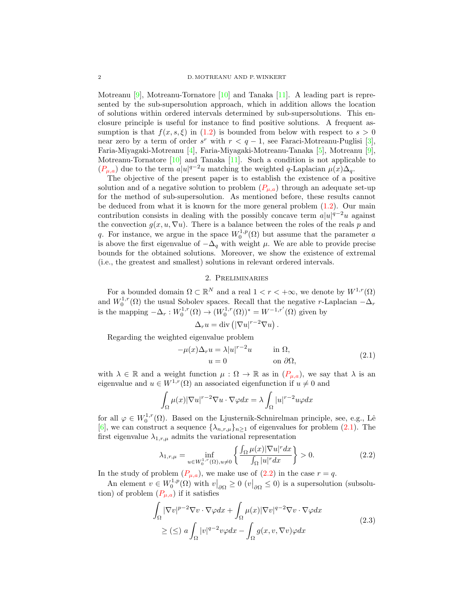Motreanu  $[9]$ , Motreanu-Tornatore  $[10]$  and Tanaka  $[11]$ . A leading part is represented by the sub-supersolution approach, which in addition allows the location of solutions within ordered intervals determined by sub-supersolutions. This enclosure principle is useful for instance to find positive solutions. A frequent assumption is that  $f(x, s, \xi)$  in [\(1.2\)](#page-0-1) is bounded from below with respect to  $s > 0$ near zero by a term of order  $s^r$  with  $r < q - 1$ , see Faraci-Motreanu-Puglisi [\[3\]](#page-6-2), Faria-Miyagaki-Motreanu [\[4\]](#page-6-3), Faria-Miyagaki-Motreanu-Tanaka [\[5\]](#page-6-4), Motreanu [\[9\]](#page-6-5), Motreanu-Tornatore [\[10\]](#page-6-6) and Tanaka [\[11\]](#page-6-7). Such a condition is not applicable to  $(P_{\mu,a})$  due to the term  $a|u|^{q-2}u$  matching the weighted q-Laplacian  $\mu(x)\Delta_q$ .

The objective of the present paper is to establish the existence of a positive solution and of a negative solution to problem  $(P_{\mu,a})$  through an adequate set-up for the method of sub-supersolution. As mentioned before, these results cannot be deduced from what it is known for the more general problem [\(1.2\)](#page-0-1). Our main contribution consists in dealing with the possibly concave term  $a|u|^{q-2}u$  against the convection  $g(x, u, \nabla u)$ . There is a balance between the roles of the reals p and q. For instance, we argue in the space  $W_0^{1,p}(\Omega)$  but assume that the parameter a is above the first eigenvalue of  $-\Delta_q$  with weight  $\mu$ . We are able to provide precise bounds for the obtained solutions. Moreover, we show the existence of extremal (i.e., the greatest and smallest) solutions in relevant ordered intervals.

# 2. Preliminaries

For a bounded domain  $\Omega \subset \mathbb{R}^N$  and a real  $1 < r < +\infty$ , we denote by  $W^{1,r}(\Omega)$ and  $W_0^{1,r}(\Omega)$  the usual Sobolev spaces. Recall that the negative r-Laplacian  $-\Delta_r$ is the mapping  $-\Delta_r: W_0^{1,r}(\Omega) \to (W_0^{1,r}(\Omega))^* = W^{-1,r'}(\Omega)$  given by

<span id="page-1-0"></span>
$$
\Delta_r u = \text{div}\left(|\nabla u|^{r-2} \nabla u\right).
$$

Regarding the weighted eigenvalue problem

$$
-\mu(x)\Delta_r u = \lambda |u|^{r-2}u \qquad \text{in } \Omega,
$$
  
\n
$$
u = 0 \qquad \text{on } \partial\Omega,
$$
 (2.1)

with  $\lambda \in \mathbb{R}$  and a weight function  $\mu : \Omega \to \mathbb{R}$  as in  $(P_{\mu,a})$ , we say that  $\lambda$  is an eigenvalue and  $u \in W^{1,r}(\Omega)$  an associated eigenfunction if  $u \neq 0$  and

$$
\int_{\Omega} \mu(x) |\nabla u|^{r-2} \nabla u \cdot \nabla \varphi dx = \lambda \int_{\Omega} |u|^{r-2} u \varphi dx
$$

for all  $\varphi \in W_0^{1,r}(\Omega)$ . Based on the Ljusternik-Schnirelman principle, see, e.g., Lê [\[6\]](#page-6-8), we can construct a sequence  $\{\lambda_{n,r,\mu}\}_{n\geq 1}$  of eigenvalues for problem [\(2.1\)](#page-1-0). The first eigenvalue  $\lambda_{1,r,\mu}$  admits the variational representation

<span id="page-1-1"></span>
$$
\lambda_{1,r,\mu} = \inf_{u \in W_0^{1,r}(\Omega), u \neq 0} \left\{ \frac{\int_{\Omega} \mu(x) |\nabla u|^r dx}{\int_{\Omega} |u|^r dx} \right\} > 0.
$$
\n(2.2)

In the study of problem  $(P_{\mu,a})$ , we make use of  $(2.2)$  in the case  $r = q$ .

An element  $v \in W_0^{1,p}(\Omega)$  with  $v|_{\partial \Omega} \geq 0$   $(v|_{\partial \Omega} \leq 0)$  is a supersolution (subsolution) of problem  $(P_{\mu,a})$  if it satisfies

<span id="page-1-2"></span>
$$
\int_{\Omega} |\nabla v|^{p-2} \nabla v \cdot \nabla \varphi dx + \int_{\Omega} \mu(x) |\nabla v|^{q-2} \nabla v \cdot \nabla \varphi dx
$$
\n
$$
\geq (\leq) \ a \int_{\Omega} |v|^{q-2} v \varphi dx - \int_{\Omega} g(x, v, \nabla v) \varphi dx \tag{2.3}
$$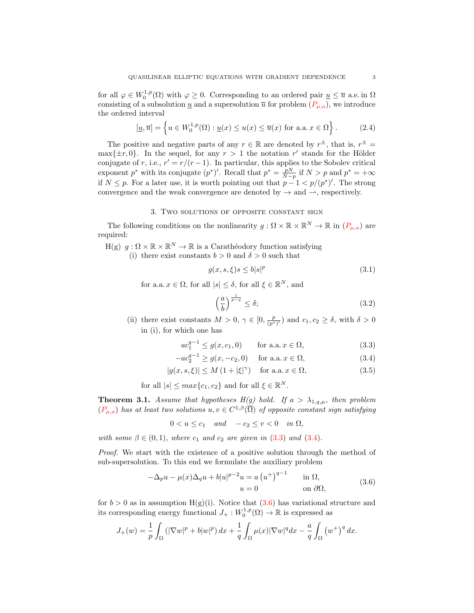for all  $\varphi \in W_0^{1,p}(\Omega)$  with  $\varphi \geq 0$ . Corresponding to an ordered pair  $\underline{u} \leq \overline{u}$  a.e. in  $\Omega$ consisting of a subsolution  $\underline{u}$  and a supersolution  $\overline{u}$  for problem  $(P_{\mu,a})$ , we introduce the ordered interval

$$
[\underline{u}, \overline{u}] = \left\{ u \in W_0^{1,p}(\Omega) : \underline{u}(x) \le u(x) \le \overline{u}(x) \text{ for a.a. } x \in \Omega \right\}.
$$
 (2.4)

The positive and negative parts of any  $r \in \mathbb{R}$  are denoted by  $r^{\pm}$ , that is,  $r^{\pm} =$  $\max\{\pm r, 0\}$ . In the sequel, for any  $r > 1$  the notation r' stands for the Hölder conjugate of r, i.e.,  $r' = r/(r-1)$ . In particular, this applies to the Sobolev critical exponent p<sup>\*</sup> with its conjugate  $(p^*)'$ . Recall that  $p^* = \frac{pN}{N-p}$  if  $N > p$  and  $p^* = +\infty$ if  $N \leq p$ . For a later use, it is worth pointing out that  $p-1 < p/(p^*)'$ . The strong convergence and the weak convergence are denoted by  $\rightarrow$  and  $\rightarrow$ , respectively.

### 3. Two solutions of opposite constant sign

The following conditions on the nonlinearity  $g: \Omega \times \mathbb{R} \times \mathbb{R}^N \to \mathbb{R}$  in  $(P_{\mu,a})$  are required:

 $H(g)$   $g: \Omega \times \mathbb{R} \times \mathbb{R}^N \to \mathbb{R}$  is a Carathéodory function satisfying

(i) there exist constants  $b > 0$  and  $\delta > 0$  such that

<span id="page-2-7"></span>
$$
g(x, s, \xi)s \le b|s|^p \tag{3.1}
$$

for a.a.  $x \in \Omega$ , for all  $|s| \leq \delta$ , for all  $\xi \in \mathbb{R}^N$ , and

<span id="page-2-5"></span><span id="page-2-4"></span><span id="page-2-3"></span><span id="page-2-1"></span><span id="page-2-0"></span>
$$
\left(\frac{a}{b}\right)^{\frac{1}{p-q}} \le \delta; \tag{3.2}
$$

(ii) there exist constants  $M > 0$ ,  $\gamma \in [0, \frac{p}{(p^*)'} )$  and  $c_1, c_2 \ge \delta$ , with  $\delta > 0$ in (i), for which one has

$$
ac_1^{q-1} \le g(x, c_1, 0) \qquad \text{for a.a. } x \in \Omega,
$$
\n(3.3)

$$
-ac_2^{q-1} \ge g(x, -c_2, 0) \quad \text{for a.a. } x \in \Omega,
$$
\n(3.4)

$$
|g(x, s, \xi)| \le M\left(1 + |\xi|^\gamma\right) \quad \text{for a.a. } x \in \Omega,\tag{3.5}
$$

for all  $|s| \leq max\{c_1, c_2\}$  and for all  $\xi \in \mathbb{R}^N$ .

<span id="page-2-6"></span>**Theorem 3.1.** Assume that hypotheses  $H(g)$  hold. If  $a > \lambda_{1,q,\mu}$ , then problem  $(P_{\mu,a})$  has at least two solutions  $u, v \in C^{1,\beta}(\overline{\Omega})$  of opposite constant sign satisfying

 $0 < u \leq c_1$  and  $-c_2 \leq v \leq 0$  in  $\Omega$ ,

with some  $\beta \in (0,1)$ , where  $c_1$  and  $c_2$  are given in  $(3.3)$  and  $(3.4)$ .

Proof. We start with the existence of a positive solution through the method of sub-supersolution. To this end we formulate the auxiliary problem

<span id="page-2-2"></span>
$$
-\Delta_p u - \mu(x)\Delta_q u + b|u|^{p-2}u = a\left(u^+\right)^{q-1} \quad \text{in } \Omega,
$$
  
\n
$$
u = 0 \quad \text{on } \partial\Omega,
$$
\n(3.6)

for  $b > 0$  as in assumption H(g)(i). Notice that [\(3.6\)](#page-2-2) has variational structure and its corresponding energy functional  $J_+ : W_0^{1,p}(\Omega) \to \mathbb{R}$  is expressed as

$$
J_+(w) = \frac{1}{p} \int_{\Omega} \left( |\nabla w|^p + b|w|^p \right) dx + \frac{1}{q} \int_{\Omega} \mu(x) |\nabla w|^q dx - \frac{a}{q} \int_{\Omega} \left( w^+ \right)^q dx.
$$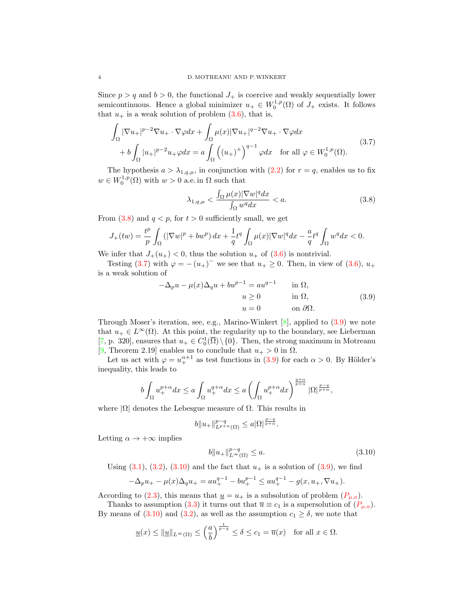Since  $p > q$  and  $b > 0$ , the functional  $J_+$  is coercive and weakly sequentially lower semicontinuous. Hence a global minimizer  $u_+ \in W_0^{1,p}(\Omega)$  of  $J_+$  exists. It follows that  $u_+$  is a weak solution of problem  $(3.6)$ , that is,

$$
\int_{\Omega} |\nabla u_{+}|^{p-2} \nabla u_{+} \cdot \nabla \varphi dx + \int_{\Omega} \mu(x) |\nabla u_{+}|^{q-2} \nabla u_{+} \cdot \nabla \varphi dx \n+ b \int_{\Omega} |u_{+}|^{p-2} u_{+} \varphi dx = a \int_{\Omega} ((u_{+})^{+})^{q-1} \varphi dx \quad \text{for all } \varphi \in W_{0}^{1,p}(\Omega).
$$
\n(3.7)

The hypothesis  $a > \lambda_{1,q,\mu}$ , in conjunction with  $(2.2)$  for  $r = q$ , enables us to fix  $w \in W_0^{1,p}(\Omega)$  with  $w > 0$  a.e. in  $\Omega$  such that

<span id="page-3-1"></span><span id="page-3-0"></span>
$$
\lambda_{1,q,\mu} < \frac{\int_{\Omega} \mu(x) |\nabla w|^q dx}{\int_{\Omega} w^q dx} < a. \tag{3.8}
$$

From  $(3.8)$  and  $q < p$ , for  $t > 0$  sufficiently small, we get

$$
J_+(tw)=\frac{t^p}{p}\int_{\Omega}\left(|\nabla w|^p+bw^p\right)dx+\frac{1}{q}t^q\int_{\Omega}\mu(x)|\nabla w|^qdx-\frac{a}{q}t^q\int_{\Omega}w^qdx<0.
$$

We infer that  $J_+(u_+) < 0$ , thus the solution  $u_+$  of  $(3.6)$  is nontrivial.

Testing [\(3.7\)](#page-3-1) with  $\varphi = -(u_+)^-$  we see that  $u_+ \geq 0$ . Then, in view of [\(3.6\)](#page-2-2),  $u_+$ is a weak solution of

<span id="page-3-2"></span>
$$
-\Delta_p u - \mu(x)\Delta_q u + b u^{p-1} = a u^{q-1} \quad \text{in } \Omega,
$$
  
\n
$$
u \ge 0 \quad \text{in } \Omega,
$$
  
\n
$$
u = 0 \quad \text{on } \partial\Omega.
$$
\n(3.9)

Through Moser's iteration, see, e.g., Marino-Winkert  $[8]$ , applied to  $(3.9)$  we note that  $u_+ \in L^{\infty}(\Omega)$ . At this point, the regularity up to the boundary, see Lieberman [\[7,](#page-6-10) p. 320], ensures that  $u_+ \in C_0^1(\overline{\Omega}) \setminus \{0\}$ . Then, the strong maximum in Motreanu [\[9,](#page-6-5) Theorem 2.19] enables us to conclude that  $u_+ > 0$  in  $\Omega$ .

Let us act with  $\varphi = u_+^{\alpha+1}$  as test functions in [\(3.9\)](#page-3-2) for each  $\alpha > 0$ . By Hölder's inequality, this leads to

$$
b\int_{\Omega}u_+^{p+\alpha}dx\leq a\int_{\Omega}u_+^{q+\alpha}dx\leq a\left(\int_{\Omega}u_+^{p+\alpha}dx\right)^{\frac{q+\alpha}{p+\alpha}}|\Omega|^{\frac{p-q}{p+\alpha}},
$$

where  $|\Omega|$  denotes the Lebesgue measure of  $\Omega$ . This results in

$$
b\|u_{+}\|_{L^{p+\alpha}(\Omega)}^{p-q} \le a|\Omega|^{\frac{p-q}{p+\alpha}}.
$$

Letting  $\alpha \to +\infty$  implies

<span id="page-3-3"></span>
$$
b\|u_{+}\|_{L^{\infty}(\Omega)}^{p-q} \le a.
$$
\n(3.10)

Using  $(3.1), (3.2), (3.10)$  $(3.1), (3.2), (3.10)$  $(3.1), (3.2), (3.10)$  $(3.1), (3.2), (3.10)$  $(3.1), (3.2), (3.10)$  and the fact that  $u_+$  is a solution of  $(3.9)$ , we find

$$
-\Delta_p u_+ - \mu(x)\Delta_q u_+ = au_+^{q-1} - bu_+^{p-1} \le au_+^{q-1} - g(x, u_+, \nabla u_+).
$$

According to [\(2.3\)](#page-1-2), this means that  $\underline{u} = u_+$  is a subsolution of problem  $(P_{\mu,a})$ .

Thanks to assumption [\(3.3\)](#page-2-0) it turns out that  $\overline{u} \equiv c_1$  is a supersolution of  $(P_{\mu,a})$ . By means of  $(3.10)$  and  $(3.2)$ , as well as the assumption  $c_1 \ge \delta$ , we note that

$$
\underline{u}(x) \le ||\underline{u}||_{L^{\infty}(\Omega)} \le \left(\frac{a}{b}\right)^{\frac{1}{p-q}} \le \delta \le c_1 = \overline{u}(x) \quad \text{for all } x \in \Omega.
$$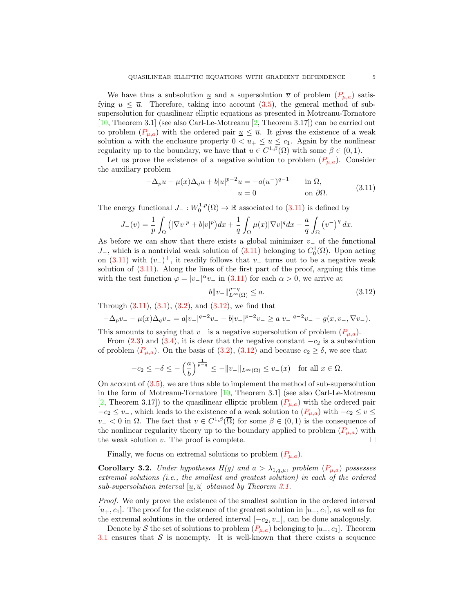We have thus a subsolution  $\underline{u}$  and a supersolution  $\overline{u}$  of problem  $(P_{\mu,a})$  satisfying  $\underline{u} \leq \overline{u}$ . Therefore, taking into account [\(3.5\)](#page-2-5), the general method of subsupersolution for quasilinear elliptic equations as presented in Motreanu-Tornatore [\[10,](#page-6-6) Theorem 3.1] (see also Carl-Le-Motreanu [\[2,](#page-6-1) Theorem 3.17]) can be carried out to problem  $(P_{\mu,a})$  with the ordered pair  $\underline{u} \leq \overline{u}$ . It gives the existence of a weak solution u with the enclosure property  $0 < u_+ \leq u \leq c_1$ . Again by the nonlinear regularity up to the boundary, we have that  $u \in C^{1,\beta}(\overline{\Omega})$  with some  $\beta \in (0,1)$ .

Let us prove the existence of a negative solution to problem  $(P_{\mu,a})$ . Consider the auxiliary problem

<span id="page-4-0"></span>
$$
-\Delta_p u - \mu(x)\Delta_q u + b|u|^{p-2}u = -a(u^{-})^{q-1} \quad \text{in } \Omega,
$$
  
\n
$$
u = 0 \quad \text{on } \partial\Omega.
$$
 (3.11)

The energy functional  $J_-: W_0^{1,p}(\Omega) \to \mathbb{R}$  associated to  $(3.11)$  is defined by

$$
J_-(v)=\frac{1}{p}\int_{\Omega}\big(|\nabla v|^p+b|v|^p\big)dx+\frac{1}{q}\int_{\Omega}\mu(x)|\nabla v|^qdx-\frac{a}{q}\int_{\Omega}\big(v^-\big)^q\,dx.
$$

As before we can show that there exists a global minimizer  $v_$  of the functional J<sub>-</sub>, which is a nontrivial weak solution of  $(3.11)$  belonging to  $C_0^1(\overline{\Omega})$ . Upon acting on [\(3.11\)](#page-4-0) with  $(v_{-})^{+}$ , it readily follows that  $v_{-}$  turns out to be a negative weak solution of  $(3.11)$ . Along the lines of the first part of the proof, arguing this time with the test function  $\varphi = |v_-|^{\alpha} v_-$  in [\(3.11\)](#page-4-0) for each  $\alpha > 0$ , we arrive at

<span id="page-4-1"></span>
$$
b \|v_{-}\|_{L^{\infty}(\Omega)}^{p-q} \le a.
$$
\n(3.12)

Through  $(3.11)$ ,  $(3.1)$ ,  $(3.2)$ , and  $(3.12)$ , we find that

$$
-\Delta_p v_- - \mu(x)\Delta_q v_- = a|v_-|^{q-2}v_- - b|v_-|^{p-2}v_- \ge a|v_-|^{q-2}v_- - g(x,v_-,\nabla v_-).
$$

This amounts to saying that  $v_$  is a negative supersolution of problem  $(P_{\mu,a})$ .

From  $(2.3)$  and  $(3.4)$ , it is clear that the negative constant  $-c_2$  is a subsolution of problem  $(P_{\mu,a})$ . On the basis of  $(3.2)$ ,  $(3.12)$  and because  $c_2 \geq \delta$ , we see that

$$
-c_2\leq -\delta\leq -\left(\frac{a}{b}\right)^{\frac{1}{p-q}}\leq -\|v_-\|_{L^\infty(\Omega)}\leq v_-(x)\quad\text{for all }x\in\Omega.
$$

On account of [\(3.5\)](#page-2-5), we are thus able to implement the method of sub-supersolution in the form of Motreanu-Tornatore [\[10,](#page-6-6) Theorem 3.1] (see also Carl-Le-Motreanu [\[2,](#page-6-1) Theorem 3.17]) to the quasilinear elliptic problem  $(P_{\mu,a})$  with the ordered pair  $-c_2 \leq v_$ , which leads to the existence of a weak solution to  $(P_{\mu,a})$  with  $-c_2 \leq v \leq$  $v-$  < 0 in  $\Omega$ . The fact that  $v \in C^{1,\beta}(\overline{\Omega})$  for some  $\beta \in (0,1)$  is the consequence of the nonlinear regularity theory up to the boundary applied to problem  $(P_{\mu,a})$  with the weak solution v. The proof is complete.  $\Box$ 

Finally, we focus on extremal solutions to problem  $(P_{\mu,a})$ .

**Corollary 3.2.** Under hypotheses  $H(g)$  and  $a > \lambda_{1,q,\mu}$ , problem  $(P_{\mu,a})$  possesses extremal solutions (i.e., the smallest and greatest solution) in each of the ordered sub-supersolution interval  $[\underline{u}, \overline{u}]$  obtained by Theorem [3.1.](#page-2-6)

Proof. We only prove the existence of the smallest solution in the ordered interval  $[u_+, c_1]$ . The proof for the existence of the greatest solution in  $[u_+, c_1]$ , as well as for the extremal solutions in the ordered interval  $[-c_2, v_-\]$ , can be done analogously.

Denote by S the set of solutions to problem  $(P_{\mu,a})$  belonging to  $[u_+, c_1]$ . Theorem [3.1](#page-2-6) ensures that  $S$  is nonempty. It is well-known that there exists a sequence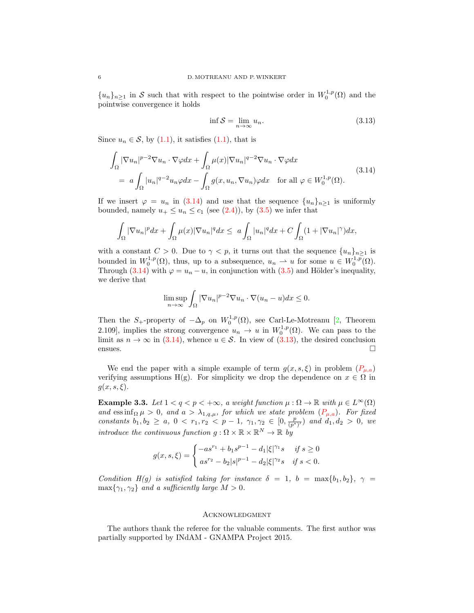${u_n}_{n \geq 1}$  in S such that with respect to the pointwise order in  $W_0^{1,p}(\Omega)$  and the pointwise convergence it holds

<span id="page-5-1"></span><span id="page-5-0"></span>
$$
\inf \mathcal{S} = \lim_{n \to \infty} u_n. \tag{3.13}
$$

Since  $u_n \in \mathcal{S}$ , by [\(1.1\)](#page-0-2), it satisfies (1.1), that is

$$
\int_{\Omega} |\nabla u_n|^{p-2} \nabla u_n \cdot \nabla \varphi dx + \int_{\Omega} \mu(x) |\nabla u_n|^{q-2} \nabla u_n \cdot \nabla \varphi dx
$$
\n
$$
= a \int_{\Omega} |u_n|^{q-2} u_n \varphi dx - \int_{\Omega} g(x, u_n, \nabla u_n) \varphi dx \quad \text{for all } \varphi \in W_0^{1,p}(\Omega). \tag{3.14}
$$

If we insert  $\varphi = u_n$  in [\(3.14\)](#page-5-0) and use that the sequence  $\{u_n\}_{n\geq 1}$  is uniformly bounded, namely  $u_+ \leq u_n \leq c_1$  (see [\(2.4\)](#page-2-7)), by [\(3.5\)](#page-2-5) we infer that

$$
\int_{\Omega} |\nabla u_n|^p dx + \int_{\Omega} \mu(x) |\nabla u_n|^q dx \leq a \int_{\Omega} |u_n|^q dx + C \int_{\Omega} (1 + |\nabla u_n|^{\gamma}) dx,
$$

with a constant  $C > 0$ . Due to  $\gamma < p$ , it turns out that the sequence  $\{u_n\}_{n\geq 1}$  is bounded in  $W_0^{1,p}(\Omega)$ , thus, up to a subsequence,  $u_n \rightharpoonup u$  for some  $u \in W_0^{1,p}(\Omega)$ . Through [\(3.14\)](#page-5-0) with  $\varphi = u_n - u$ , in conjunction with [\(3.5\)](#page-2-5) and Hölder's inequality, we derive that

$$
\limsup_{n \to \infty} \int_{\Omega} |\nabla u_n|^{p-2} \nabla u_n \cdot \nabla (u_n - u) dx \le 0.
$$

Then the S<sub>+</sub>-property of  $-\Delta_p$  on  $W_0^{1,p}(\Omega)$ , see Carl-Le-Motreanu [\[2,](#page-6-1) Theorem 2.109], implies the strong convergence  $u_n \to u$  in  $W_0^{1,p}(\Omega)$ . We can pass to the limit as  $n \to \infty$  in [\(3.14\)](#page-5-0), whence  $u \in \mathcal{S}$ . In view of [\(3.13\)](#page-5-1), the desired conclusion  $\Box$ 

We end the paper with a simple example of term  $g(x, s, \xi)$  in problem  $(P_{\mu,a})$ verifying assumptions H(g). For simplicity we drop the dependence on  $x \in \Omega$  in  $g(x, s, \xi)$ .

Example 3.3. Let  $1 < q < p < +\infty$ , a weight function  $\mu : \Omega \to \mathbb{R}$  with  $\mu \in L^{\infty}(\Omega)$ and essinf<sub>Ω</sub> $\mu > 0$ , and  $a > \lambda_{1,q,\mu}$ , for which we state problem  $(P_{\mu,a})$ . For fixed constants  $b_1, b_2 \ge a, 0 < r_1, r_2 < p-1, \gamma_1, \gamma_2 \in [0, \frac{p}{(p^*)'})$  and  $d_1, d_2 > 0$ , we introduce the continuous function  $g : \Omega \times \mathbb{R} \times \mathbb{R}^N \to \mathbb{R}$  by

$$
g(x,s,\xi) = \begin{cases} -as^{r_1} + b_1s^{p-1} - d_1|\xi|^{\gamma_1}s & \text{if } s \ge 0\\ as^{r_2} - b_2|s|^{p-1} - d_2|\xi|^{\gamma_2}s & \text{if } s < 0. \end{cases}
$$

Condition H(g) is satisfied taking for instance  $\delta = 1$ ,  $b = \max\{b_1, b_2\}$ ,  $\gamma =$  $\max\{\gamma_1,\gamma_2\}$  and a sufficiently large  $M > 0$ .

## Acknowledgment

The authors thank the referee for the valuable comments. The first author was partially supported by INdAM - GNAMPA Project 2015.